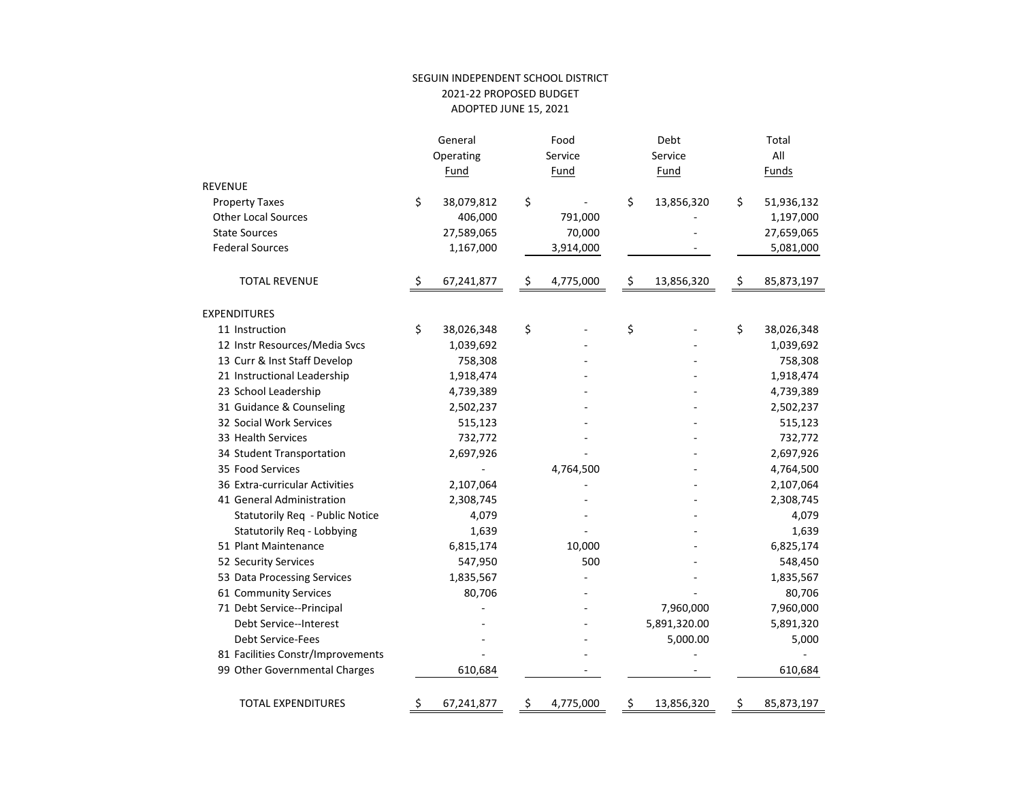## SEGUIN INDEPENDENT SCHOOL DISTRICT 2021-22 PROPOSED BUDGET ADOPTED JUNE 15, 2021

|                                   | General          | Food            | Debt             |    | Total      |
|-----------------------------------|------------------|-----------------|------------------|----|------------|
|                                   | Operating        | Service         | Service          |    | All        |
|                                   | Fund             | Fund            | Fund             |    | Funds      |
| <b>REVENUE</b>                    |                  |                 |                  |    |            |
| <b>Property Taxes</b>             | \$<br>38,079,812 | \$              | \$<br>13,856,320 | \$ | 51,936,132 |
| <b>Other Local Sources</b>        | 406,000          | 791,000         |                  |    | 1,197,000  |
| <b>State Sources</b>              | 27,589,065       | 70,000          |                  |    | 27,659,065 |
| <b>Federal Sources</b>            | 1,167,000        | 3,914,000       |                  |    | 5,081,000  |
| <b>TOTAL REVENUE</b>              | \$<br>67,241,877 | \$<br>4,775,000 | \$<br>13,856,320 | \$ | 85,873,197 |
| <b>EXPENDITURES</b>               |                  |                 |                  |    |            |
| 11 Instruction                    | \$<br>38,026,348 | \$              | \$               | \$ | 38,026,348 |
| 12 Instr Resources/Media Svcs     | 1,039,692        |                 |                  |    | 1,039,692  |
| 13 Curr & Inst Staff Develop      | 758,308          |                 |                  |    | 758,308    |
| 21 Instructional Leadership       | 1,918,474        |                 |                  |    | 1,918,474  |
| 23 School Leadership              | 4,739,389        |                 |                  |    | 4,739,389  |
| 31 Guidance & Counseling          | 2,502,237        |                 |                  |    | 2,502,237  |
| 32 Social Work Services           | 515,123          |                 |                  |    | 515,123    |
| 33 Health Services                | 732,772          |                 |                  |    | 732,772    |
| 34 Student Transportation         | 2,697,926        |                 |                  |    | 2,697,926  |
| 35 Food Services                  |                  | 4,764,500       |                  |    | 4,764,500  |
| 36 Extra-curricular Activities    | 2,107,064        |                 |                  |    | 2,107,064  |
| 41 General Administration         | 2,308,745        |                 |                  |    | 2,308,745  |
| Statutorily Req - Public Notice   | 4,079            |                 |                  |    | 4,079      |
| Statutorily Req - Lobbying        | 1,639            |                 |                  |    | 1,639      |
| 51 Plant Maintenance              | 6,815,174        | 10,000          |                  |    | 6,825,174  |
| 52 Security Services              | 547,950          | 500             |                  |    | 548,450    |
| 53 Data Processing Services       | 1,835,567        |                 |                  |    | 1,835,567  |
| 61 Community Services             | 80,706           |                 |                  |    | 80,706     |
| 71 Debt Service--Principal        |                  |                 | 7,960,000        |    | 7,960,000  |
| Debt Service--Interest            |                  |                 | 5,891,320.00     |    | 5,891,320  |
| <b>Debt Service-Fees</b>          |                  |                 | 5,000.00         |    | 5,000      |
| 81 Facilities Constr/Improvements |                  |                 |                  |    |            |
| 99 Other Governmental Charges     | 610,684          |                 |                  |    | 610,684    |
| <b>TOTAL EXPENDITURES</b>         | \$<br>67,241,877 | \$<br>4,775,000 | \$<br>13,856,320 | Ş  | 85,873,197 |